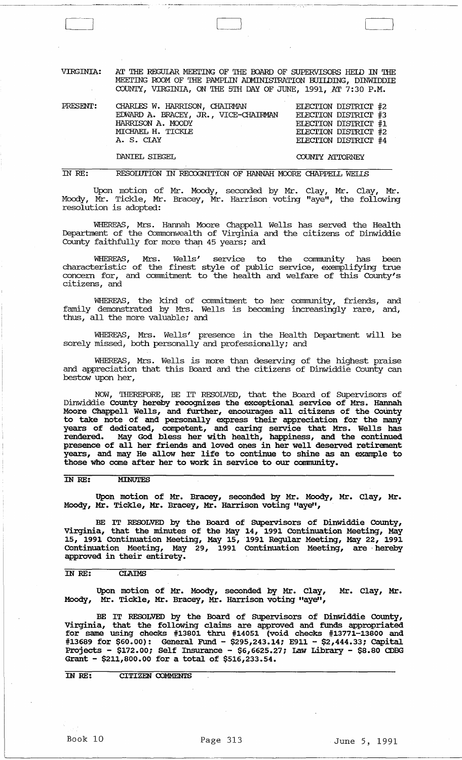VIRGINIA: AT THE REGUIAR MEEI'ING OF THE POARD OF SUPERVISORS HElD m THE MEETING ROOM OF THE PAMPLIN ADMINISTRATION BUIIDING, DINWIDDIE COUNTY, VIRGINIA, ON THE 5TH DAY OF JUNE, 1991, AT 7:30 P.M.

| PRESENT: | CHARLES W. HARRISON, CHAIRMAN        | ELECTION DISTRICT #2 |
|----------|--------------------------------------|----------------------|
|          | EDWARD A. BRACEY, JR., VICE-CHAIRMAN | ELECTION DISTRICT #3 |
|          | HARRISON A. MOODY                    | ELECTION DISTRICT #1 |
|          | MICHAEL H. TICKLE                    | ELECTION DISTRICT #2 |
|          | A. S. CIAY                           | ELECTION DISTRICT #4 |
|          |                                      |                      |

DANIEL SIEGEL COUNTY ATIORNEY

m *RE:*  RESOIUTION IN RECOGNITION OF HANNAH MOORE CHAPPELL WELLS

Upon motion of Mr. Moody, seconded by Mr. Clay, Mr. Clay, Mr. Moody, Mr. Tickle, Mr. Bracey, Mr. Harrison voting "aye", the following resolution is adopted:

WHEREAS, Mrs. Hannah Moore Chappell Wells has served the Health Department of the Commonwealth of Virginia and the citizens of Dinwiddie County faithfully for more than 45 years; and

WHEREAS, Mrs. Wells' service to the community has been characteristic of the finest style of public service, exemplifying true concern for, and commitment to the health and welfare of this County's citizens, and

WHEREAS, the kind of commitment to her community, friends, and family demonstrated by Mrs. Wells is becoming increasingly rare, and, thus, all the more valuable; and

WHEREAS, Mrs. Wells' presence in the Health Department will be sorely missed, both personally and professionally; and

WHEREAS, Mrs. Wells is more than deserving of the highest praise and appreciation that this Board and the citizens of Dinwiddie County can bestow upon her,

NOW, THEREFDRE, BE IT RESOLVED, that the Board of Supervisors of Dinwiddie county hereby recognizes the exceptional service of Mrs. Hannah Moore Chappell Wells, and further, encourages all citizens of the County to take note of and personally express their appreciation for the many years of dedicated, competent, and caring service that Mrs. Wells has rendered. May God bless her with health, happiness, and the continued presence of all her friends and loved ones in her well deserved retirement years, and may He allow her life to continue to shine as an example to those who come after her to work in service to our community.

IN RE: MINUTES

Upon motion of Mr. Bracey, seconded by Mr. Moody, Mr. Clay, Mr. Moody, Mr. Tickle, Mr. Bracey, Mr. Harrison voting "aye",

BE IT RESOLVED by the Board of Supervisors of Dinwiddie County, Virginia, that the minutes of the May 14, 1991 continuation Meeting, May 15, 1991 continuation Meeting, May 15,1991 Regular Meeting, May 22, 1991 continuation Meeting, May 29, 1991 COntinuation Meeting, are' hereby approved in their entirety.

#### IN RE: **CLAIMS**

Upon motion of Mr. Moody, seconded by Mr. Clay, Mr. Clay, Mr. Moody, Mr. Tickle, Mr. Bracey, Mr. Harrison voting "aye",

BE IT RESOLVED by the Board of Supervisors of Dinwiddie County, Virginia, that the following claims are approved and funds appropriated for same using checks #13801 thru #14051 (void checks #13771-13800 and #13689 for \$60.00): General Fund - \$295,243.14; E911 - \$2,444.33; Capital Projects - \$172.00; Self Insurance - \$6,6625.27; Law Library - \$8.80 CDBG Grant - \$211,800.00 for a total of \$516,233.54.

IN RE: CITIZEN COMMENTS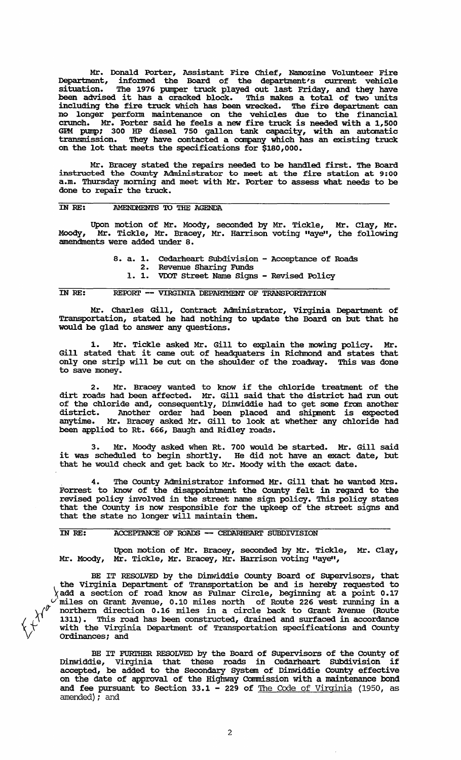Mr. Donald Porter, Assistant Fire Chief, Namozine Volunteer Fire Department, infonned the Board of the department's current vehicle situation. The 1976 pumper truck played out last Friday, and they have been advised it has a cracked block. This makes a total of two units including the fire truck which has been wrecked. The fire department can no longer perfonn maintenance on the vehicles due to the financial crunch. Mr. Porter said he feels a new fire truck is needed with a 1,500 GPM pump; 300 HP diesel 750 gallon tank capacity, with an automatic transmission. They have contacted a company which has an existing truck on the lot that meets the specifications for \$180,000.

Mr. Bracey stated the repairs needed to be handled first. The Board instructed the County Administrator to meet at the fire station at 9: 00 a.m. Thursday morning and meet with Mr. Porter to assess what needs to be done to repair the truck.

## IN RE: AMENDMENTS TO THE AGENDA

Upon motion of Mr. Moody, seconded by Mr. Tickle, Mr. Clay, Mr. Moody, Mr. Tickle, Mr. Bracey, Mr. Harrison voting "aye", the following amendments were added under 8.

8. a. 1. Cedarheart Subdivision - Acceptance of Roads<br>2. Revenue Sharing Funds

- Revenue Sharing Funds
- 1. 1. VOOT Street Name Signs Revised Policy

#### IN RE: REPORT -- VIRGINIA DEPARTMENT OF TRANSPORTATION

Mr. Charles Gill, Contract Administrator, Virginia Department of Transportation, stated he had nothing to update the Board on but that he would be glad to answer any questions.

1. Mr. Tickle asked Mr. Gill to explain the mowing policy. Mr. Gill stated that it came out of headquaters in Richmond and states that only one strip will be cut on the shoulder of the roadway. This was done to save money.

Mr. Bracey wanted to know if the chloride treatment of the dirt roads had been affected. Mr. Gill said that the district had run out of the chloride and, consequently, Dinwiddie had to get some fran another district. Another order had been placed and shipnent is expected anytime. Mr. Bracey asked Mr. Gill to look at whether any chloride had been applied to Rt. 666, Baugh and Ridley roads.

3. Mr. Moody asked when Rt. 700 would be started. Mr. Gill said it was scheduled to begin shortly. He did not have an exact date, but that he would check and get back to Mr. Moody with the exact date.

The County Administrator informed Mr. Gill that he wanted Mrs. Forrest to know of the disappointment the County felt in regard to the revised policy involved in the street name sign policy. This policy states that the COunty is now responsible for the upkeep of the street signs and that the state no longer will maintain them.

#### IN RE: ACCEPIANCE OF ROADS -- CEDARHEART SUBDIVISION

 $x^{\gamma^{\prime^{\prime^{\prime}}}}$ 

Upon motion of Mr. Bracey, seconded by Mr. Tickle, Mr. Clay, Mr. Moody, Mr. Tickle, Mr. Bracey, Mr. Harrison voting "aye",

BE IT RESOLVED by the Dinwiddie County Board of Supervisors, that the Virginia Department of Transportation be and is hereby requested to add a section of road know as Fulmar Circle, beginning at a point 0.17 *v* miles on Grant Avenue, 0.10 miles north of Route 226 west running in a \{ft northern direction 0.16 miles in a circle back to Grant Avenue (Route  $\chi$ <sup> $\phi$ </sup> northern direction 0.16 miles in a circle back to Grant Avenue (Route 1311). This road has been constructed, drained and surfaced in accordance  $\forall$  with the Virginia Department of Transportation specifications and County ordinances; and

BE IT FURTHER RESOLVED by the Board of Supervisors of the County of Dinwiddie, Virginia that these roads in Cedarheart Subdivision if accepted, be added to the Secondary system of Dinwiddie COunty effective on the date of approval of the Highway Commission with a maintenance bond and fee pursuant to Section 33.1 - 229 of The Code of Virginia (1950, as amended); and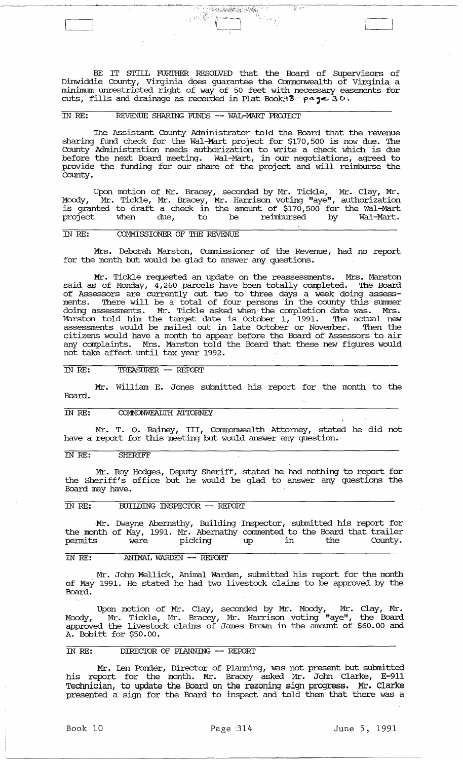BE IT STILL FURTHER RESOLVED that the Board of Supervisors of Dinwiddie County, Virginia does guarantee the Commonwealth of Virginia a minimum unrestricted right of way of 50 feet with necessary easements for cuts, fills and drainage as recorded in Plat Book:  $3 \circ \rho$  age  $3 \circ$ .

 $\overline{\{y\}$  with

 $\mathbb{C}$ 

# IN RE: REVENUE SHARING FUNDS -- WAL-MARl' PROJECT

The Assistant county Administrator told the Board that the revenue sharing fund check for the Wal-Mart project for \$170,500 is now due. The County Administration needs authorization to write a check which is due before the next Board meeting. Wal-Mart, in our negotiations, agreed to provide the funding for our share of the project and will reimburse the County.

Upon motion of Mr. Bracey, seconded by Mr. Tickle, Mr. Clay, Mr. Moody, Mr. Tickle, Mr. Bracey, Mr. Harrison voting "aye", authorization is granted to draft a check in the amount of \$170,500 for the Wal-Mart project when due, to be reimbursed by Wal-Mart.

## IN RE: COMMISSIONER OF THE REVENUE

Mrs. Deborah Marston, Commissioner of the Revenue, had no report for the month but would be glad to answer any questions.

Mr. Tickle requested an update on the reassessments. Mrs. Marston said as of Monday, 4,260 ,parcels have been totally completed. The Board of Assessors are currently out two to three days a week doing assessments. There will be a total of four persons in the county this summer doing assessments. Mr. Tickle asked when the completion date was. Mrs. Marston told him the target date is october 1, 1991. The actual new assessments would be mailed out in late October or November. Then the citizens would have a month to appear before the Board of Assessors to air any complaints. Mrs. Marston told the Board that these new figures would not take affect until tax year 1992.

## IN RE: TREASURER -- REPORT

Mr. William E. Jones submitted his report for the month to the Board.

#### IN RE: COMMONWEAL'IH ATIORNEY

Mr. T. O. Rainey, III, Commonwealth Attorney, stated he did not have a report for this meeting but would answer any question.

## IN RE: SHERIFF

Mr. Roy Hodges, Deputy Sheriff, stated he had nothing to report for the Sheriff's office but he would be glad to answer any questions the Board may have.

# IN RE: BUILDING INSPECTOR -- REIDRI'

Mr. Dwayne Abernathy, Building Inspector, submitted his report for the month of May, 1991. Mr. Abernathy connnented to the Board that trailer permits were picking up in the County.

## IN RE: ANIMAL WARDEN -- REPORT

Mr. John Mellick, Animal Warden, submitted his report for the month of May 1991. He stated he had two livestock claims to be approved by the Board.

Upon motion of Mr. Clay, seconded by Mr. Moody, Mr. Clay, Mr. Moody, Mr. Tickle, Mr. Bracey, Mr. Harrison voting "aye", the Board approved the livestock claims of James Brown in the amount of \$60.00 and A. Bobitt for \$50.00.

# IN RE: DIRECTOR OF PLANNING -- REPORT

Mr. Len Ponder, Director of Planning, was not present but submitted his report for the month. Mr. Bracey asked Mr. John Clarke, E-911 Technician, to update the Board on the rezoning sign progress. Mr. Clarke presented a sign for the Board to inspect and told them that there was a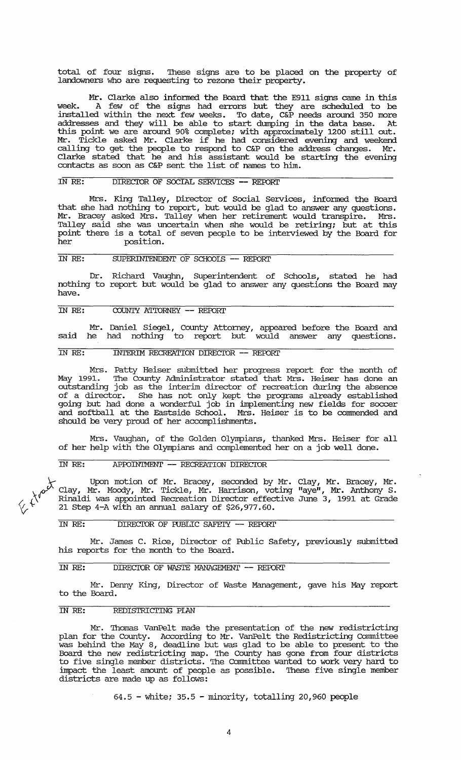total of four signs. 'Ihese signs are to be placed on the property of landowners who are requesting to rezone their property.

Mr. Clarke also infonned the Board that the E911 signs came in this week. A few of the signs had errors but they are scheduled to be installed within the next few weeks. To date, C&P needs around 350 more addresses and they will be able to start dumping in the data base. At this point we are around 90% complete; with approximately 1200 still out. Mr. Tickle asked Mr. Clarke if he had considered evening and weekend calling to get the people to respond to C&P on the address changes. Mr. Clarke stated that he and his assistant would be starting the evening contacts as soon as C&P sent the list of names to him.

#### IN RE: DIRECIOR OF SOCIAL SERVICES **-- REFORI'**

Mrs. King Talley, Director of Social Services, informed the Board that she had nothing to report, but would be glad to answer any questions.<br>Mr. Bracey asked Mrs. Talley when her retirement would transpire. Mrs. Mr. Bracey asked Mrs. Talley when her retirement would transpire. Talley said she was uncertain when she would be retiring; but at this point there is a total of seven people to be interviewed by the Board for position.

# IN RE: SUPERINTENDENT OF SCHooIS **--** REFDRI'

Dr. Richard Vaughn, Superintendent of Schools, stated he had nothing to report but would be glad to answer any questions the Board may have.

## IN RE: COUNTY ATIORNEY **-- REFORI'**

Mr. Daniel Siegel, County Attorney, appeared before the Board and said he had nothing to report but would answer any questions.

## IN RE: INTERIM RECREATION DIRECIOR **--** REFDRI'

Mrs. Patty Heiser submitted her progress report for the month of May 1991. The County Administrator stated that Mrs. Heiser has done an outstanding job as the interim director of recreation during the absence of a director. She has not only kept the programs already established going but had done a wonderful job in implementing new fields for soccer and softball at the Eastside School. Mrs. Heiser is to be commended and should be very proud of her accomplishments.

Mrs. Vaughan, of the Golden Olympians, thanked Mrs. Heiser for all of her help with the Olympians and complemented her on a job well done.

## IN RE: APFDIN'IMENT **--** RECREATION DIRECIOR

<sup>1</sup>/<sub>2</sub> Upon motion of Mr. Bracey, seconded by Mr.  $f_{\alpha}$ <sup>, Clay, Mr. Moody, Mr. Tickle, Mr. Harrison, voting</sup>  $\chi^{\check{\mathfrak{c}}}$  Rinaldi was appointed Recreation Director effective 21 Step 4-A with an annual salary of \$26,977.60. Clay, Mr. Bracey, Mr . "aye", Mr. Anthony S. June 3, 1991 at Grade

#### IN RE: DIRECIOR OF PUBLIC SAFEI'Y **--** REFDRI'

Mr. James C. Rice, Director of Public Safety, previously submitted his reports for the month to the Board.

## IN RE: DIRECIOR OF WAS'IE MANAGEMENT **--** REFDRI'

Mr. Denny King, Director of waste Management, gave his May report to the Board.

#### IN RE: REDISTRIcrING PIAN

ا<br>-

Mr. 'Ihomas VanPelt made the presentation of the new redistricting plan for the County. According to Mr. VanPelt the Redistricting Committee was behind the May 8, deadline but was glad to be able to present to the Board the new redistricting map. 'Ihe County has gone from four districts to five single member districts. 'Ihe Committee wanted to work very hard to impact the least amount of people as possible. 'Ihese five single member districts are made up as follows:

64.5 - white; 35.5 - minority, totalling 20,960 people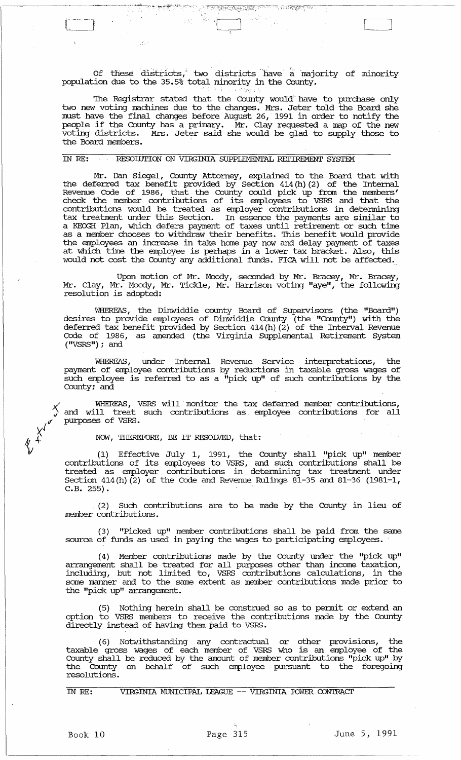Of these districts, two districts have a majority of minority population due to the 35.5% total minority in the County.

 $\sim$  . The second representation  $\sim$ 

 $\mathcal{F}$  .

- 2

<sup>ਤਰ ਦਿ</sup>ਸ ਪ੍ਰਕਾਸ਼ ਕਰ ਦਾ ਸਾ

The Registrar stated that the County would have to purchase only two new voting machines due to the changes. Mrs. Jeter told the Board she must have the final changes before August 26, 1991 in order to notify the mast have the final dianges before Adgust 20, 1991 in stack to hottly the people if the County has a primary. Mr. Clay requested a map of the new voting districts. Mrs. Jeter said she would be glad to supply those to the Board members. '

## IN RE: RESOllJTION ON VIRGINIA SUPPLEMENTAL REI'IREMENT SYSTEM

Mr. Dan Siegel, County Attorney, explained to the Board that with the deferred tax benefit provided by Section 414(h)(2) of the Internal Revenue Code of 1986, that the County could pick up from the members' check the member contributions of its employees to VSRS and that the contributions would be treated as employer contributions in detennining tax treatment under this Section. In essence the payments are similar to a KEOGH Plan, which defers payment of taxes until retirement or such time as a member chooses to withdraw their benefits. This benefit would provide the employees an increase in take home pay now and delay payment of taxes at which time the employee is perhaps in a lower tax bracket. Also, this would not cost the County any additional funds. FICA will not be affected.

Upon motion of Mr. Moody, seconded by Mr. Bracey, Mr. Bracey, Mr. Clay, Mr. Moody, Mr. Tickle, Mr. Harrison voting "aye", the following resolution is adopted:

WHEREAS, the Dinwiddie county Board of Supervisors (the "Board") desires to provide employees of Dinwiddie County (the "County") with the deferred tax benefit provided by Section 414(h)(2) of the Interval Revenue Code of 1986, as amended (the Virginia Supplemental Retirement System ("VSRS"); and

WHEREAS, under Internal Revenue service interpretations, the payment of employee contributions by reductions in taxable gross wages of such employee is referred to as a "pick up" of such contributions by the County; and

 $\times$  WHEREAS, VSRS will monitor the tax deferred member contributions, A and will treat such contributions as employee contributions for all purposes of VSRS.

NOW, THEREFORE, BE IT RESOLVED, that:

(1) Effective July I, 1991, the County shall "pick up" member contributions of its employees to VSRS, and such contributions shall be treated as employer contributions in determining tax treatment under Section 414(h)(2) of the Code and Revenue Rulings  $81-35$  and  $81-36$  (1981-1, C.B.255).

(2) Such contributions are to be made by the County in lieu of member contributions.

(3) "picked up" member contributions shall be paid from the same source of funds as used in paying the wages to participating employees.

( 4) Member contributions made by the County under the "pick up" arrangement shall be treated for all purposes other than income taxation, including, but not limited to, VSRS contributions calculations, in the some manner and to the same extent as member contributions made prior to the "pick up" arrangement.

(5) Nothing herein shall be construed so as to pennit or extend an option to VSRS members to receive the contributions made by the County directly instead of having them paid to VSRS.

(6) Notwithstanding any contractual or other provisions, the taxable gross wages of each member of VSRS who is an employee of the County shall be reduced by the amount of member contributions "pick up" by the County on behalf of such employee pursuant to the foregoing resolutions.

IN RE: VIRGINIA MUNICIPAL lEAGUE -- VIRGINIA roWER CONTRACT

'K'<br>'K +